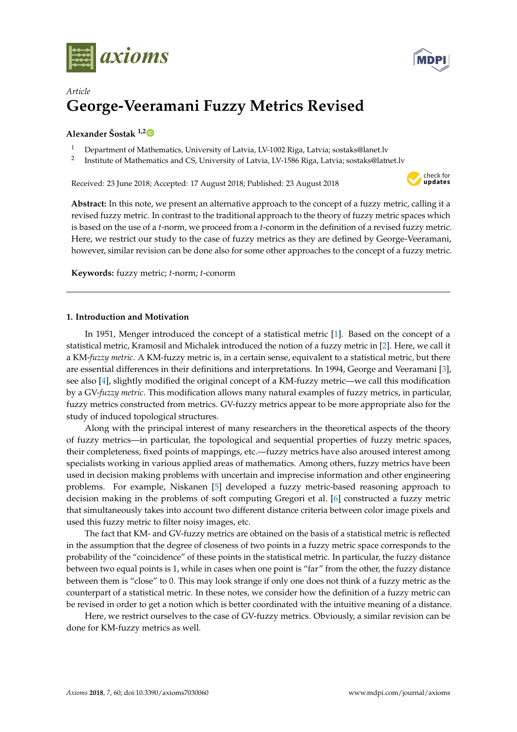



# *Article* **George-Veeramani Fuzzy Metrics Revised**

## **Alexander Šostak 1,[2](https://orcid.org/0000-0003-3763-7032)**

- <sup>1</sup> Department of Mathematics, University of Latvia, LV-1002 Riga, Latvia; sostaks@lanet.lv
- 2 Institute of Mathematics and CS, University of Latvia, LV-1586 Riga, Latvia; sostaks@latnet.lv

Received: 23 June 2018; Accepted: 17 August 2018; Published: 23 August 2018



**Abstract:** In this note, we present an alternative approach to the concept of a fuzzy metric, calling it a revised fuzzy metric. In contrast to the traditional approach to the theory of fuzzy metric spaces which is based on the use of a *t*-norm, we proceed from a *t*-conorm in the definition of a revised fuzzy metric. Here, we restrict our study to the case of fuzzy metrics as they are defined by George-Veeramani, however, similar revision can be done also for some other approaches to the concept of a fuzzy metric.

**Keywords:** fuzzy metric; *t*-norm; *t*-conorm

## **1. Introduction and Motivation**

In 1951, Menger introduced the concept of a statistical metric [\[1\]](#page-5-0). Based on the concept of a statistical metric, Kramosil and Michalek introduced the notion of a fuzzy metric in [\[2\]](#page-5-1). Here, we call it a KM-*fuzzy metric*. A KM-fuzzy metric is, in a certain sense, equivalent to a statistical metric, but there are essential differences in their definitions and interpretations. In 1994, George and Veeramani [\[3\]](#page-5-2), see also [\[4\]](#page-5-3), slightly modified the original concept of a KM-fuzzy metric—we call this modification by a GV-*fuzzy metric*. This modification allows many natural examples of fuzzy metrics, in particular, fuzzy metrics constructed from metrics. GV-fuzzy metrics appear to be more appropriate also for the study of induced topological structures.

Along with the principal interest of many researchers in the theoretical aspects of the theory of fuzzy metrics—in particular, the topological and sequential properties of fuzzy metric spaces, their completeness, fixed points of mappings, etc.—fuzzy metrics have also aroused interest among specialists working in various applied areas of mathematics. Among others, fuzzy metrics have been used in decision making problems with uncertain and imprecise information and other engineering problems. For example, Niskanen [\[5\]](#page-5-4) developed a fuzzy metric-based reasoning approach to decision making in the problems of soft computing Gregori et al. [\[6\]](#page-5-5) constructed a fuzzy metric that simultaneously takes into account two different distance criteria between color image pixels and used this fuzzy metric to filter noisy images, etc.

The fact that KM- and GV-fuzzy metrics are obtained on the basis of a statistical metric is reflected in the assumption that the degree of closeness of two points in a fuzzy metric space corresponds to the probability of the "coincidence" of these points in the statistical metric. In particular, the fuzzy distance between two equal points is 1, while in cases when one point is "far" from the other, the fuzzy distance between them is "close" to 0. This may look strange if only one does not think of a fuzzy metric as the counterpart of a statistical metric. In these notes, we consider how the definition of a fuzzy metric can be revised in order to get a notion which is better coordinated with the intuitive meaning of a distance.

Here, we restrict ourselves to the case of GV-fuzzy metrics. Obviously, a similar revision can be done for KM-fuzzy metrics as well.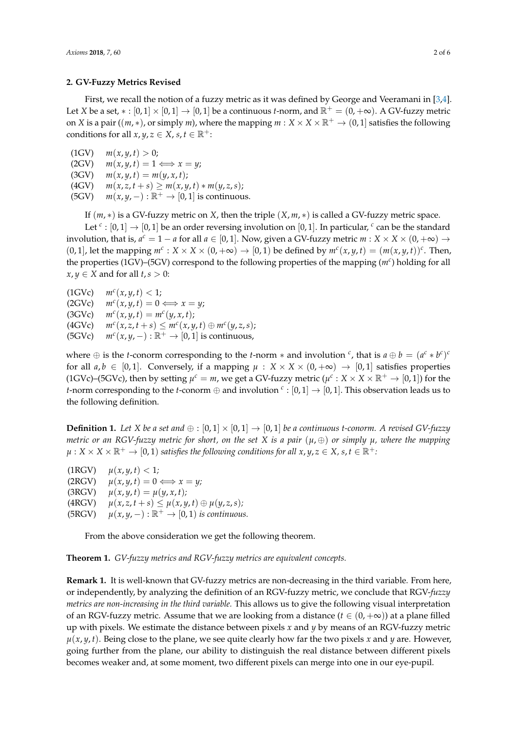#### **2. GV-Fuzzy Metrics Revised**

First, we recall the notion of a fuzzy metric as it was defined by George and Veeramani in [\[3,](#page-5-2)[4\]](#page-5-3). Let *X* be a set,  $* : [0,1] \times [0,1] \rightarrow [0,1]$  be a continuous *t*-norm, and  $\mathbb{R}^+ = (0, +\infty)$ . A GV-fuzzy metric on *X* is a pair ((*m*,  $*$ ), or simply *m*), where the mapping  $m : X \times X \times \mathbb{R}^+ \to (0, 1]$  satisfies the following conditions for all  $x, y, z \in X$ ,  $s, t \in \mathbb{R}^+$ :

 $m(x, y, t) > 0;$  $(2GV)$  *m* $(x, y, t) = 1 \Longleftrightarrow x = y;$  $(3GV)$   $m(x, y, t) = m(y, x, t);$  $(4GV)$   $m(x, z, t + s) \geq m(x, y, t) * m(y, z, s);$  $(5GV)$  *m*(*x*, *y*, –):  $\mathbb{R}^+$   $\rightarrow$  [0, 1] is continuous.

If (*m*, ∗) is a GV-fuzzy metric on *X*, then the triple (*X*, *m*, ∗) is called a GV-fuzzy metric space.

Let  $^c$  :  $[0,1] \rightarrow [0,1]$  be an order reversing involution on  $[0,1]$ . In particular,  $^c$  can be the standard involution, that is,  $a^c = 1 - a$  for all  $a \in [0, 1]$ . Now, given a GV-fuzzy metric  $m : X \times X \times (0, +\infty) \to$  $(0, 1]$ , let the mapping  $m^c : X \times X \times (0, +\infty) \to [0, 1]$  be defined by  $m^c(x, y, t) = (m(x, y, t))^c$ . Then, the properties (1GV)–(5GV) correspond to the following properties of the mapping (*m<sup>c</sup>* ) holding for all  $x, y \in X$  and for all  $t, s > 0$ :

(1GVc) *m<sup>c</sup>*  $m^{c}(x, y, t) < 1$ ;  $(2GVc)$  $m^{c}(x, y, t) = 0 \Longleftrightarrow x = y;$ (3GVc) *m<sup>c</sup>*  $(x, y, t) = m^{c}(y, x, t);$  $(4GVc)$  $(x, z, t + s) \leq m^{c}(x, y, t) \oplus m^{c}(y, z, s);$ (5GVc) *m<sup>c</sup>*  $m^{c}(x, y, -): \mathbb{R}^{+} \rightarrow [0, 1]$  is continuous,

where  $\oplus$  is the *t*-conorm corresponding to the *t*-norm  $*$  and involution  $c$ , that is  $a \oplus b = (a^c * b^c)^c$ for all  $a, b \in [0, 1]$ . Conversely, if a mapping  $\mu : X \times X \times (0, +\infty) \rightarrow [0, 1]$  satisfies properties (1GVc)–(5GVc), then by setting  $\mu^c = m$ , we get a GV-fuzzy metric  $(\mu^c : X \times X \times \mathbb{R}^+ \to [0,1])$  for the *t*-norm corresponding to the *t*-conorm  $\oplus$  and involution  $\cdot$  :  $[0,1] \to [0,1]$ . This observation leads us to the following definition.

<span id="page-1-0"></span>**Definition 1.** Let *X* be a set and  $\oplus$  :  $[0,1] \times [0,1] \rightarrow [0,1]$  be a continuous *t*-conorm. A revised GV-fuzzy *metric or an RGV-fuzzy metric for short, on the set X is a pair* (*µ*, ⊕) *or simply µ, where the mapping*  $\mu: X \times X \times \mathbb{R}^+ \to [0, 1)$  *satisfies the following conditions for all*  $x, y, z \in X$ ,  $s, t \in \mathbb{R}^+$ *:* 

 $\mu(x, y, t) < 1;$  $\mu(x, y, t) = 0 \Longleftrightarrow x = y;$  $\mu(x, y, t) = \mu(y, x, t);$  $\mu(x, z, t + s) \leq \mu(x, y, t) \oplus \mu(y, z, s);$ (5RGV)  $\mu(x, y, -): \mathbb{R}^+ \to [0, 1)$  *is continuous.* 

From the above consideration we get the following theorem.

**Theorem 1.** *GV-fuzzy metrics and RGV-fuzzy metrics are equivalent concepts.*

**Remark 1.** It is well-known that GV-fuzzy metrics are non-decreasing in the third variable. From here, or independently, by analyzing the definition of an RGV-fuzzy metric, we conclude that RGV-*fuzzy metrics are non-increasing in the third variable.* This allows us to give the following visual interpretation of an RGV-fuzzy metric. Assume that we are looking from a distance  $(t \in (0, +\infty))$  at a plane filled up with pixels. We estimate the distance between pixels *x* and *y* by means of an RGV-fuzzy metric  $\mu(x, y, t)$ . Being close to the plane, we see quite clearly how far the two pixels *x* and *y* are. However, going further from the plane, our ability to distinguish the real distance between different pixels becomes weaker and, at some moment, two different pixels can merge into one in our eye-pupil.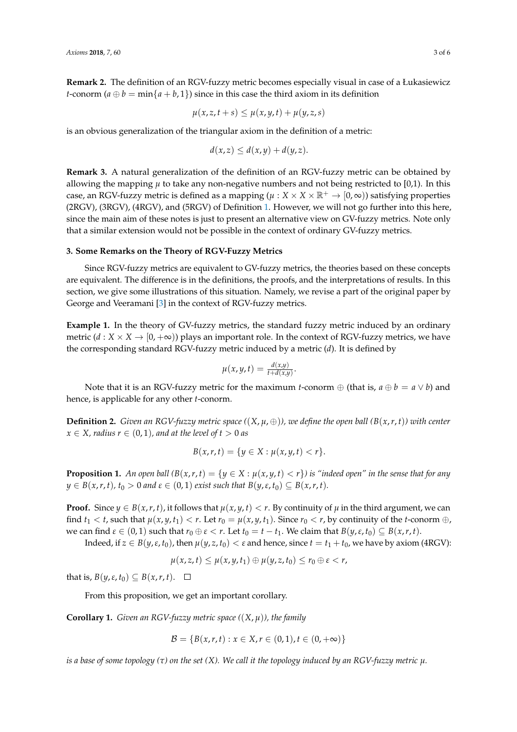**Remark 2.** The definition of an RGV-fuzzy metric becomes especially visual in case of a Łukasiewicz *t*-conorm  $(a \oplus b = \min\{a + b, 1\})$  since in this case the third axiom in its definition

$$
\mu(x,z,t+s) \leq \mu(x,y,t) + \mu(y,z,s)
$$

is an obvious generalization of the triangular axiom in the definition of a metric:

$$
d(x,z) \leq d(x,y) + d(y,z).
$$

**Remark 3.** A natural generalization of the definition of an RGV-fuzzy metric can be obtained by allowing the mapping  $\mu$  to take any non-negative numbers and not being restricted to [0,1). In this case, an RGV-fuzzy metric is defined as a mapping ( $\mu$  :  $X \times X \times \mathbb{R}^+ \to [0,\infty)$ ) satisfying properties (2RGV), (3RGV), (4RGV), and (5RGV) of Definition [1.](#page-1-0) However, we will not go further into this here, since the main aim of these notes is just to present an alternative view on GV-fuzzy metrics. Note only that a similar extension would not be possible in the context of ordinary GV-fuzzy metrics.

## **3. Some Remarks on the Theory of RGV-Fuzzy Metrics**

Since RGV-fuzzy metrics are equivalent to GV-fuzzy metrics, the theories based on these concepts are equivalent. The difference is in the definitions, the proofs, and the interpretations of results. In this section, we give some illustrations of this situation. Namely, we revise a part of the original paper by George and Veeramani [\[3\]](#page-5-2) in the context of RGV-fuzzy metrics.

**Example 1.** In the theory of GV-fuzzy metrics, the standard fuzzy metric induced by an ordinary metric  $(d : X \times X \rightarrow [0, +\infty))$  plays an important role. In the context of RGV-fuzzy metrics, we have the corresponding standard RGV-fuzzy metric induced by a metric (*d*). It is defined by

$$
\mu(x,y,t)=\tfrac{d(x,y)}{t+d(x,y)}.
$$

Note that it is an RGV-fuzzy metric for the maximum *t*-conorm  $\oplus$  (that is,  $a \oplus b = a \vee b$ ) and hence, is applicable for any other *t*-conorm.

**Definition 2.** *Given an RGV-fuzzy metric space*  $((X, \mu, \oplus))$ *, we define the open ball*  $(B(x, r, t))$  *with center*  $x \in X$ *, radius*  $r \in (0, 1)$ *, and at the level of t* > 0 *as* 

$$
B(x,r,t) = \{ y \in X : \mu(x,y,t) < r \}.
$$

**Proposition 1.** An open ball  $(B(x, r, t) = \{y \in X : \mu(x, y, t) < r\}$  is "indeed open" in the sense that for any  $y \in B(x, r, t)$ ,  $t_0 > 0$  *and*  $\varepsilon \in (0, 1)$  *exist such that*  $B(y, \varepsilon, t_0) \subseteq B(x, r, t)$ .

**Proof.** Since  $y \in B(x, r, t)$ , it follows that  $\mu(x, y, t) < r$ . By continuity of  $\mu$  in the third argument, we can find  $t_1 < t$ , such that  $\mu(x, y, t_1) < r$ . Let  $r_0 = \mu(x, y, t_1)$ . Since  $r_0 < r$ , by continuity of the *t*-conorm  $\oplus$ , we can find  $\varepsilon \in (0,1)$  such that  $r_0 \oplus \varepsilon < r$ . Let  $t_0 = t - t_1$ . We claim that  $B(y,\varepsilon,t_0) \subseteq B(x,r,t)$ .

Indeed, if  $z \in B(y, \varepsilon, t_0)$ , then  $\mu(y, z, t_0) < \varepsilon$  and hence, since  $t = t_1 + t_0$ , we have by axiom (4RGV):

$$
\mu(x,z,t)\leq \mu(x,y,t_1)\oplus \mu(y,z,t_0)\leq r_0\oplus \varepsilon
$$

that is,  $B(y, \varepsilon, t_0) \subseteq B(x, r, t)$ .  $\Box$ 

From this proposition, we get an important corollary.

**Corollary 1.** *Given an RGV-fuzzy metric space (*(*X*, *µ*)*), the family*

$$
\mathcal{B} = \{B(x, r, t) : x \in X, r \in (0, 1), t \in (0, +\infty)\}
$$

*is a base of some topology* ( $\tau$ ) *on the set* (X). We call *it the topology induced by an RGV-fuzzy metric*  $\mu$ *.*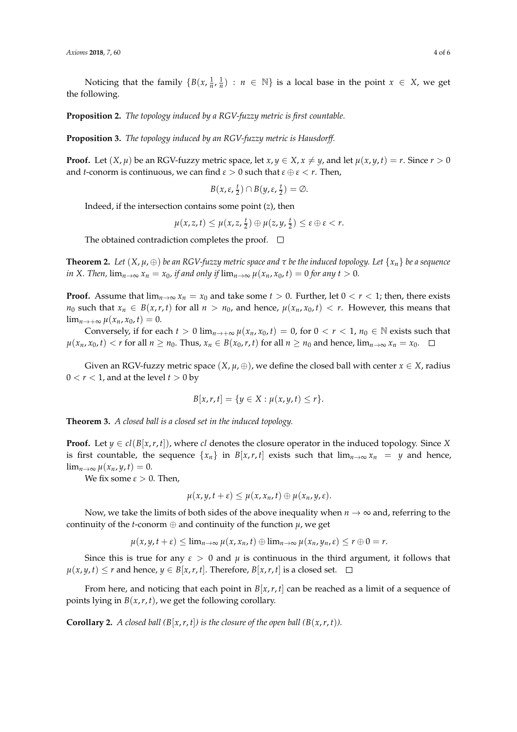Noticing that the family  $\{B(x, \frac{1}{n}, \frac{1}{n}) : n \in \mathbb{N}\}$  is a local base in the point  $x \in X$ , we get the following.

**Proposition 2.** *The topology induced by a RGV-fuzzy metric is first countable.*

**Proposition 3.** *The topology induced by an RGV-fuzzy metric is Hausdorff.*

**Proof.** Let  $(X, \mu)$  be an RGV-fuzzy metric space, let  $x, y \in X, x \neq y$ , and let  $\mu(x, y, t) = r$ . Since  $r > 0$ and *t*-conorm is continuous, we can find  $\varepsilon > 0$  such that  $\varepsilon \oplus \varepsilon < r$ . Then,

$$
B(x,\varepsilon,\frac{t}{2})\cap B(y,\varepsilon,\frac{t}{2})=\emptyset.
$$

Indeed, if the intersection contains some point (*z*), then

 $\mu(x, z, t) \leq \mu(x, z, \frac{t}{2}) \oplus \mu(z, y, \frac{t}{2}) \leq \varepsilon \oplus \varepsilon < r.$ 

The obtained contradiction completes the proof.  $\Box$ 

**Theorem 2.** Let  $(X, \mu, \oplus)$  be an RGV-fuzzy metric space and  $\tau$  be the induced topology. Let  $\{x_n\}$  be a sequence *in X. Then,*  $\lim_{n\to\infty} x_n = x_0$ *, if and only if*  $\lim_{n\to\infty} \mu(x_n, x_0, t) = 0$  *for any t* > 0*.* 

**Proof.** Assume that  $\lim_{n\to\infty} x_n = x_0$  and take some  $t > 0$ . Further, let  $0 < r < 1$ ; then, there exists *n*<sub>0</sub> such that  $x_n \in B(x, r, t)$  for all  $n > n_0$ , and hence,  $\mu(x_n, x_0, t) < r$ . However, this means that  $\lim_{n \to +\infty} u(x_n, x_0, t) = 0.$ 

Conversely, if for each  $t > 0$  lim<sub>*n*→+∞</sub>  $\mu(x_n, x_0, t) = 0$ , for  $0 < r < 1$ ,  $n_0 \in \mathbb{N}$  exists such that  $\mu(x_n, x_0, t) < r$  for all  $n \ge n_0$ . Thus,  $x_n \in B(x_0, r, t)$  for all  $n \ge n_0$  and hence,  $\lim_{n \to \infty} x_n = x_0$ .  $\Box$ 

Given an RGV-fuzzy metric space  $(X, \mu, \oplus)$ , we define the closed ball with center  $x \in X$ , radius  $0 < r < 1$ , and at the level  $t > 0$  by

$$
B[x,r,t] = \{y \in X : \mu(x,y,t) \leq r\}.
$$

**Theorem 3.** *A closed ball is a closed set in the induced topology.*

**Proof.** Let  $y \in cl(B[x, r, t])$ , where *cl* denotes the closure operator in the induced topology. Since *X* is first countable, the sequence  $\{x_n\}$  in  $B[x, r, t]$  exists such that  $\lim_{n\to\infty} x_n = y$  and hence,  $\lim_{n\to\infty}\mu(x_n,y,t)=0.$ 

We fix some  $\varepsilon > 0$ . Then,

$$
\mu(x,y,t+\varepsilon)\leq \mu(x,x_n,t)\oplus \mu(x_n,y,\varepsilon).
$$

Now, we take the limits of both sides of the above inequality when  $n \to \infty$  and, referring to the continuity of the *t*-conorm  $\oplus$  and continuity of the function  $\mu$ , we get

 $\mu(x, y, t + \varepsilon) \leq \lim_{n \to \infty} \mu(x, x_n, t) \oplus \lim_{n \to \infty} \mu(x_n, y_n, \varepsilon) \leq r \oplus 0 = r.$ 

Since this is true for any  $\epsilon > 0$  and  $\mu$  is continuous in the third argument, it follows that *µ*(*x*, *y*, *t*) ≤ *r* and hence, *y* ∈ *B*[*x*, *r*, *t*]. Therefore, *B*[*x*, *r*, *t*] is a closed set.  $\Box$ 

From here, and noticing that each point in  $B[x, r, t]$  can be reached as a limit of a sequence of points lying in  $B(x, r, t)$ , we get the following corollary.

**Corollary 2.** *A closed ball*  $(B[x, r, t])$  *is the closure of the open ball*  $(B(x, r, t))$ *.*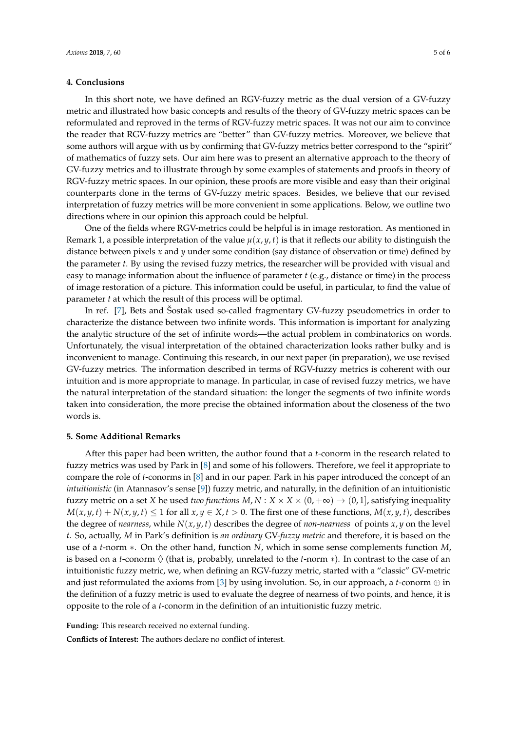#### **4. Conclusions**

In this short note, we have defined an RGV-fuzzy metric as the dual version of a GV-fuzzy metric and illustrated how basic concepts and results of the theory of GV-fuzzy metric spaces can be reformulated and reproved in the terms of RGV-fuzzy metric spaces. It was not our aim to convince the reader that RGV-fuzzy metrics are "better" than GV-fuzzy metrics. Moreover, we believe that some authors will argue with us by confirming that GV-fuzzy metrics better correspond to the "spirit" of mathematics of fuzzy sets. Our aim here was to present an alternative approach to the theory of GV-fuzzy metrics and to illustrate through by some examples of statements and proofs in theory of RGV-fuzzy metric spaces. In our opinion, these proofs are more visible and easy than their original counterparts done in the terms of GV-fuzzy metric spaces. Besides, we believe that our revised interpretation of fuzzy metrics will be more convenient in some applications. Below, we outline two directions where in our opinion this approach could be helpful.

One of the fields where RGV-metrics could be helpful is in image restoration. As mentioned in Remark 1, a possible interpretation of the value  $\mu(x, y, t)$  is that it reflects our ability to distinguish the distance between pixels *x* and *y* under some condition (say distance of observation or time) defined by the parameter *t*. By using the revised fuzzy metrics, the researcher will be provided with visual and easy to manage information about the influence of parameter *t* (e.g., distance or time) in the process of image restoration of a picture. This information could be useful, in particular, to find the value of parameter *t* at which the result of this process will be optimal.

In ref. [\[7\]](#page-5-6), Bets and Šostak used so-called fragmentary GV-fuzzy pseudometrics in order to characterize the distance between two infinite words. This information is important for analyzing the analytic structure of the set of infinite words—the actual problem in combinatorics on words. Unfortunately, the visual interpretation of the obtained characterization looks rather bulky and is inconvenient to manage. Continuing this research, in our next paper (in preparation), we use revised GV-fuzzy metrics. The information described in terms of RGV-fuzzy metrics is coherent with our intuition and is more appropriate to manage. In particular, in case of revised fuzzy metrics, we have the natural interpretation of the standard situation: the longer the segments of two infinite words taken into consideration, the more precise the obtained information about the closeness of the two words is.

#### **5. Some Additional Remarks**

After this paper had been written, the author found that a *t*-conorm in the research related to fuzzy metrics was used by Park in [\[8\]](#page-5-7) and some of his followers. Therefore, we feel it appropriate to compare the role of *t*-conorms in [\[8\]](#page-5-7) and in our paper. Park in his paper introduced the concept of an *intuitionistic* (in Atannasov's sense [\[9\]](#page-5-8)) fuzzy metric, and naturally, in the definition of an intuitionistic fuzzy metric on a set *X* he used *two functions*  $M, N: X \times X \times (0, +\infty) \rightarrow (0, 1]$ , satisfying inequality *M*(*x*, *y*, *t*) + *N*(*x*, *y*, *t*) ≤ 1 for all *x*, *y* ∈ *X*, *t* > 0. The first one of these functions, *M*(*x*, *y*, *t*), describes the degree of *nearness*, while  $N(x, y, t)$  describes the degree of *non-nearness* of points  $x, y$  on the level *t*. So, actually, *M* in Park's definition is *an ordinary* GV-*fuzzy metric* and therefore, it is based on the use of a *t*-norm ∗. On the other hand, function *N*, which in some sense complements function *M*, is based on a *t*-conorm  $\Diamond$  (that is, probably, unrelated to the *t*-norm  $\ast$ ). In contrast to the case of an intuitionistic fuzzy metric, we, when defining an RGV-fuzzy metric, started with a "classic" GV-metric and just reformulated the axioms from  $[3]$  by using involution. So, in our approach, a *t*-conorm  $\oplus$  in the definition of a fuzzy metric is used to evaluate the degree of nearness of two points, and hence, it is opposite to the role of a *t*-conorm in the definition of an intuitionistic fuzzy metric.

**Funding:** This research received no external funding. **Conflicts of Interest:** The authors declare no conflict of interest.